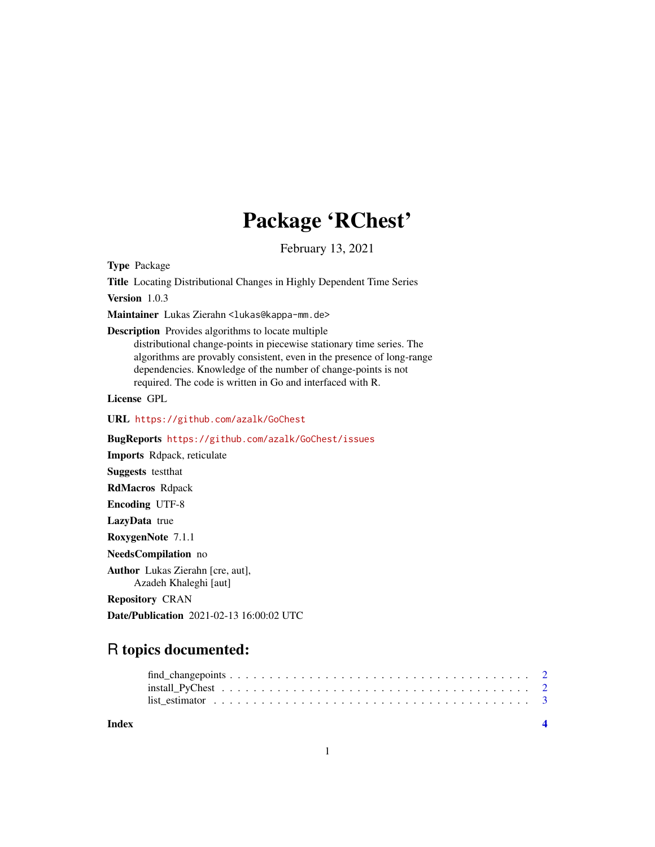## Package 'RChest'

February 13, 2021

Type Package

Title Locating Distributional Changes in Highly Dependent Time Series

Version 1.0.3

Maintainer Lukas Zierahn <lukas@kappa-mm.de>

Description Provides algorithms to locate multiple

distributional change-points in piecewise stationary time series. The algorithms are provably consistent, even in the presence of long-range dependencies. Knowledge of the number of change-points is not required. The code is written in Go and interfaced with R.

License GPL

URL <https://github.com/azalk/GoChest>

BugReports <https://github.com/azalk/GoChest/issues>

Imports Rdpack, reticulate Suggests testthat RdMacros Rdpack Encoding UTF-8 LazyData true RoxygenNote 7.1.1 NeedsCompilation no

Author Lukas Zierahn [cre, aut], Azadeh Khaleghi [aut]

Repository CRAN

Date/Publication 2021-02-13 16:00:02 UTC

### R topics documented:

#### **Index** [4](#page-3-0)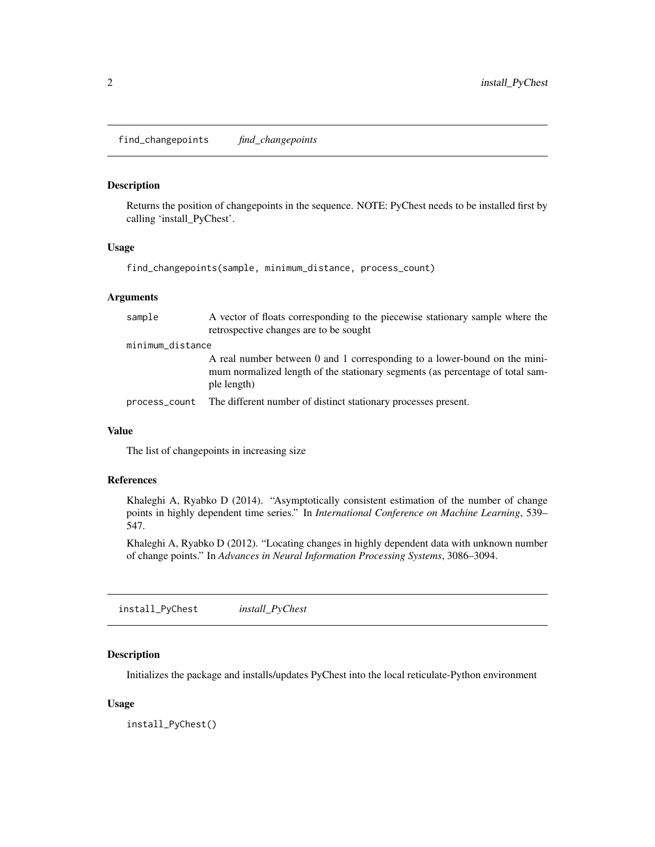<span id="page-1-0"></span>find\_changepoints *find\_changepoints*

#### Description

Returns the position of changepoints in the sequence. NOTE: PyChest needs to be installed first by calling 'install\_PyChest'.

#### Usage

find\_changepoints(sample, minimum\_distance, process\_count)

#### Arguments

| sample           | A vector of floats corresponding to the piecewise stationary sample where the<br>retrospective changes are to be sought                                                   |
|------------------|---------------------------------------------------------------------------------------------------------------------------------------------------------------------------|
| minimum_distance |                                                                                                                                                                           |
|                  | A real number between 0 and 1 corresponding to a lower-bound on the mini-<br>mum normalized length of the stationary segments (as percentage of total sam-<br>ple length) |
| process_count    | The different number of distinct stationary processes present.                                                                                                            |

#### Value

The list of changepoints in increasing size

#### References

Khaleghi A, Ryabko D (2014). "Asymptotically consistent estimation of the number of change points in highly dependent time series." In *International Conference on Machine Learning*, 539– 547.

Khaleghi A, Ryabko D (2012). "Locating changes in highly dependent data with unknown number of change points." In *Advances in Neural Information Processing Systems*, 3086–3094.

install\_PyChest *install\_PyChest*

#### Description

Initializes the package and installs/updates PyChest into the local reticulate-Python environment

#### Usage

install\_PyChest()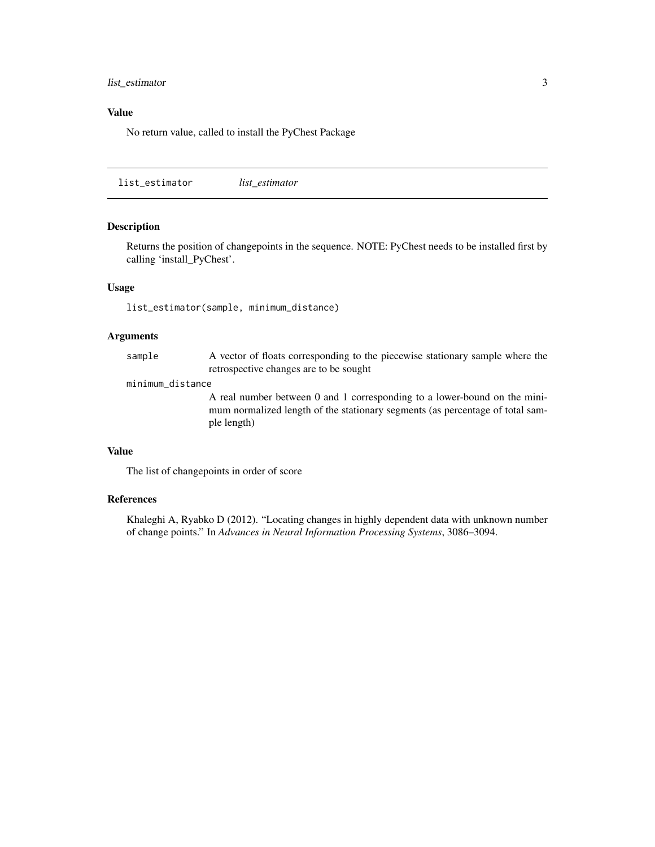#### <span id="page-2-0"></span>list\_estimator 3

#### Value

No return value, called to install the PyChest Package

list\_estimator *list\_estimator*

#### Description

Returns the position of changepoints in the sequence. NOTE: PyChest needs to be installed first by calling 'install\_PyChest'.

#### Usage

list\_estimator(sample, minimum\_distance)

#### Arguments

sample A vector of floats corresponding to the piecewise stationary sample where the retrospective changes are to be sought

#### minimum\_distance

A real number between 0 and 1 corresponding to a lower-bound on the minimum normalized length of the stationary segments (as percentage of total sample length)

#### Value

The list of changepoints in order of score

#### References

Khaleghi A, Ryabko D (2012). "Locating changes in highly dependent data with unknown number of change points." In *Advances in Neural Information Processing Systems*, 3086–3094.